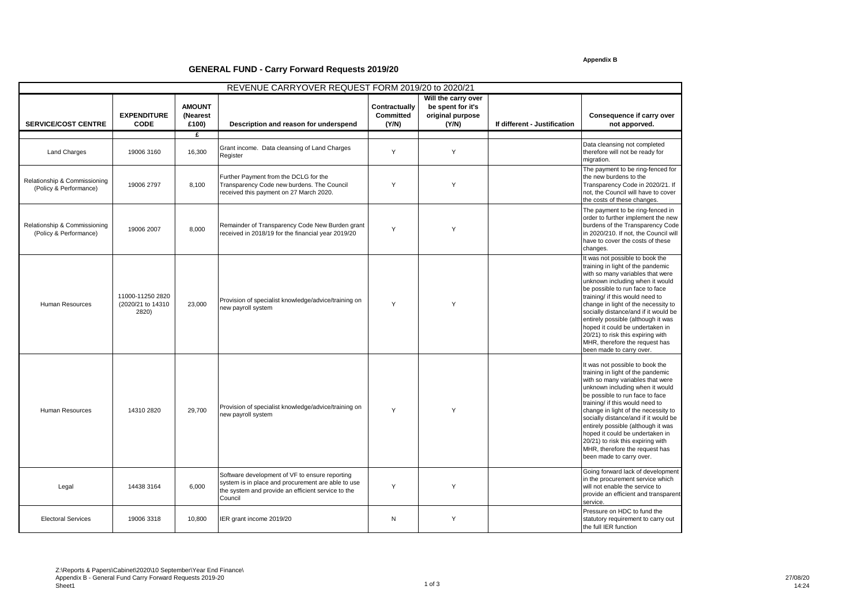## **Appendix B**

## **GENERAL FUND - Carry Forward Requests 2019/20**

| REVENUE CARRYOVER REQUEST FORM 2019/20 to 2020/21      |                                                 |                                    |                                                                                                                                                                       |                                            |                                                                       |                              |                                                                                                                                                                                                                                                                                                                                                                                                                                                                              |  |  |
|--------------------------------------------------------|-------------------------------------------------|------------------------------------|-----------------------------------------------------------------------------------------------------------------------------------------------------------------------|--------------------------------------------|-----------------------------------------------------------------------|------------------------------|------------------------------------------------------------------------------------------------------------------------------------------------------------------------------------------------------------------------------------------------------------------------------------------------------------------------------------------------------------------------------------------------------------------------------------------------------------------------------|--|--|
| <b>SERVICE/COST CENTRE</b>                             | <b>EXPENDITURE</b><br><b>CODE</b>               | <b>AMOUNT</b><br>(Nearest<br>£100) | Description and reason for underspend                                                                                                                                 | Contractually<br><b>Committed</b><br>(Y/N) | Will the carry over<br>be spent for it's<br>original purpose<br>(Y/N) | If different - Justification | Consequence if carry over<br>not apporved.                                                                                                                                                                                                                                                                                                                                                                                                                                   |  |  |
| <b>Land Charges</b>                                    | 19006 3160                                      | £<br>16,300                        | Grant income. Data cleansing of Land Charges<br>Register                                                                                                              | Y                                          | Y                                                                     |                              | Data cleansing not completed<br>therefore will not be ready for<br>migration.                                                                                                                                                                                                                                                                                                                                                                                                |  |  |
| Relationship & Commissioning<br>(Policy & Performance) | 19006 2797                                      | 8,100                              | Further Payment from the DCLG for the<br>Transparency Code new burdens. The Council<br>received this payment on 27 March 2020.                                        | Y                                          | Y                                                                     |                              | The payment to be ring-fenced for<br>the new burdens to the<br>Transparency Code in 2020/21. If<br>not, the Council will have to cover<br>the costs of these changes.                                                                                                                                                                                                                                                                                                        |  |  |
| Relationship & Commissioning<br>(Policy & Performance) | 19006 2007                                      | 8,000                              | Remainder of Transparency Code New Burden grant<br>received in 2018/19 for the financial year 2019/20                                                                 | Y                                          | Y                                                                     |                              | The payment to be ring-fenced in<br>order to further implement the new<br>burdens of the Transparency Code<br>in 2020/210. If not, the Council will<br>have to cover the costs of these<br>changes.                                                                                                                                                                                                                                                                          |  |  |
| Human Resources                                        | 11000-11250 2820<br>(2020/21 to 14310)<br>2820) | 23,000                             | Provision of specialist knowledge/advice/training on<br>new payroll system                                                                                            | Y                                          | Y                                                                     |                              | It was not possible to book the<br>training in light of the pandemic<br>with so many variables that were<br>unknown including when it would<br>be possible to run face to face<br>training/ if this would need to<br>change in light of the necessity to<br>socially distance/and if it would be<br>entirely possible (although it was<br>hoped it could be undertaken in<br>20/21) to risk this expiring with<br>MHR, therefore the request has<br>been made to carry over. |  |  |
| <b>Human Resources</b>                                 | 14310 2820                                      | 29,700                             | Provision of specialist knowledge/advice/training on<br>new payroll system                                                                                            | Y                                          | Y                                                                     |                              | It was not possible to book the<br>training in light of the pandemic<br>with so many variables that were<br>unknown including when it would<br>be possible to run face to face<br>training/ if this would need to<br>change in light of the necessity to<br>socially distance/and if it would be<br>entirely possible (although it was<br>hoped it could be undertaken in<br>20/21) to risk this expiring with<br>MHR, therefore the request has<br>been made to carry over. |  |  |
| Legal                                                  | 14438 3164                                      | 6,000                              | Software development of VF to ensure reporting<br>system is in place and procurement are able to use<br>the system and provide an efficient service to the<br>Council | Y                                          | Y                                                                     |                              | Going forward lack of development<br>in the procurement service which<br>will not enable the service to<br>provide an efficient and transparent<br>service.                                                                                                                                                                                                                                                                                                                  |  |  |
| <b>Electoral Services</b>                              | 19006 3318                                      | 10.800                             | IER grant income 2019/20                                                                                                                                              | N                                          | Y                                                                     |                              | Pressure on HDC to fund the<br>statutory requirement to carry out<br>the full IER function                                                                                                                                                                                                                                                                                                                                                                                   |  |  |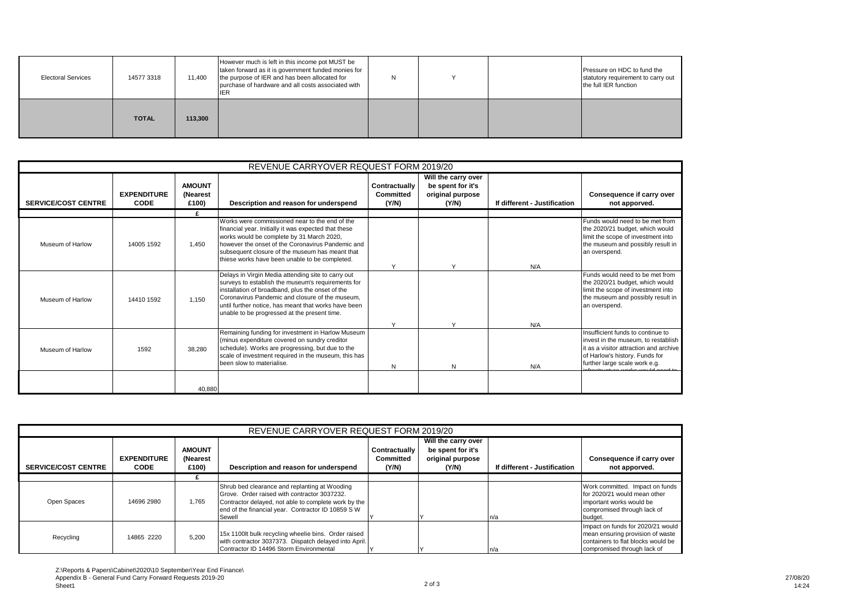| <b>Electoral Services</b> | 14577 3318   | 11,400  | However much is left in this income pot MUST be<br>taken forward as it is government funded monies for<br>the purpose of IER and has been allocated for<br>purchase of hardware and all costs associated with<br>IER | N |  | Pressure on HDC to fund the<br>statutory requirement to carry out<br>the full IER function |
|---------------------------|--------------|---------|----------------------------------------------------------------------------------------------------------------------------------------------------------------------------------------------------------------------|---|--|--------------------------------------------------------------------------------------------|
|                           | <b>TOTAL</b> | 113,300 |                                                                                                                                                                                                                      |   |  |                                                                                            |

| REVENUE CARRYOVER REQUEST FORM 2019/20 |                                   |                                    |                                                                                                                                                                                                                                                                                                                         |                                            |                                                                       |                              |                                                                                                                                                                                       |  |
|----------------------------------------|-----------------------------------|------------------------------------|-------------------------------------------------------------------------------------------------------------------------------------------------------------------------------------------------------------------------------------------------------------------------------------------------------------------------|--------------------------------------------|-----------------------------------------------------------------------|------------------------------|---------------------------------------------------------------------------------------------------------------------------------------------------------------------------------------|--|
| <b>SERVICE/COST CENTRE</b>             | <b>EXPENDITURE</b><br><b>CODE</b> | <b>AMOUNT</b><br>(Nearest<br>£100) | Description and reason for underspend                                                                                                                                                                                                                                                                                   | Contractually<br><b>Committed</b><br>(Y/N) | Will the carry over<br>be spent for it's<br>original purpose<br>(Y/N) | If different - Justification | Consequence if carry over<br>not apporved.                                                                                                                                            |  |
|                                        |                                   | £                                  |                                                                                                                                                                                                                                                                                                                         |                                            |                                                                       |                              |                                                                                                                                                                                       |  |
| Museum of Harlow                       | 14005 1592                        | 1.450                              | Works were commissioned near to the end of the<br>financial year. Initially it was expected that these<br>works would be complete by 31 March 2020,<br>however the onset of the Coronavirus Pandemic and<br>subsequent closure of the museum has meant that<br>thiese works have been unable to be completed.           | $\checkmark$                               |                                                                       | N/A                          | Funds would need to be met from<br>the 2020/21 budget, which would<br>limit the scope of investment into<br>the museum and possibly result in<br>an overspend.                        |  |
| Museum of Harlow                       | 14410 1592                        | 1.150                              | Delays in Virgin Media attending site to carry out<br>surveys to establish the museum's requirements for<br>installation of broadband, plus the onset of the<br>Coronavirus Pandemic and closure of the museum.<br>until further notice, has meant that works have been<br>unable to be progressed at the present time. | $\checkmark$                               |                                                                       | N/A                          | Funds would need to be met from<br>the 2020/21 budget, which would<br>limit the scope of investment into<br>the museum and possibly result in<br>an overspend.                        |  |
| Museum of Harlow                       | 1592                              | 38.280                             | Remaining funding for investment in Harlow Museum<br>(minus expenditure covered on sundry creditor<br>schedule). Works are progressing, but due to the<br>scale of investment required in the museum, this has<br>been slow to materialise.                                                                             | N                                          | N                                                                     | N/A                          | Insufficient funds to continue to<br>invest in the museum, to restablish<br>it as a visitor attraction and archive<br>of Harlow's history. Funds for<br>further large scale work e.g. |  |
|                                        |                                   | 40,880                             |                                                                                                                                                                                                                                                                                                                         |                                            |                                                                       |                              |                                                                                                                                                                                       |  |

| REVENUE CARRYOVER REQUEST FORM 2019/20 |                                   |                                    |                                                                                                                                                                                                                       |                                     |                                                                       |                              |                                                                                                                                            |  |
|----------------------------------------|-----------------------------------|------------------------------------|-----------------------------------------------------------------------------------------------------------------------------------------------------------------------------------------------------------------------|-------------------------------------|-----------------------------------------------------------------------|------------------------------|--------------------------------------------------------------------------------------------------------------------------------------------|--|
| <b>SERVICE/COST CENTRE</b>             | <b>EXPENDITURE</b><br><b>CODE</b> | <b>AMOUNT</b><br>(Nearest<br>£100) | Description and reason for underspend                                                                                                                                                                                 | Contractually<br>Committed<br>(Y/N) | Will the carry over<br>be spent for it's<br>original purpose<br>(Y/N) | If different - Justification | Consequence if carry over<br>not apporved.                                                                                                 |  |
|                                        |                                   |                                    |                                                                                                                                                                                                                       |                                     |                                                                       |                              |                                                                                                                                            |  |
| Open Spaces                            | 14696 2980                        | 1.765                              | Shrub bed clearance and replanting at Wooding<br>Grove. Order raised with contractor 3037232.<br>Contractor delayed, not able to complete work by the<br>end of the financial year. Contractor ID 10859 S W<br>Sewell |                                     |                                                                       | n/a                          | Work committed. Impact on funds<br>for 2020/21 would mean other<br>important works would be<br>compromised through lack of<br>budget.      |  |
| Recycling                              | 14865 2220                        | 5.200                              | 15x 1100lt bulk recycling wheelie bins. Order raised<br>with contractor 3037373. Dispatch delayed into April.<br>Contractor ID 14496 Storm Environmental                                                              |                                     |                                                                       | n/a                          | Impact on funds for 2020/21 would<br>mean ensuring provision of waste<br>containers to flat blocks would be<br>compromised through lack of |  |